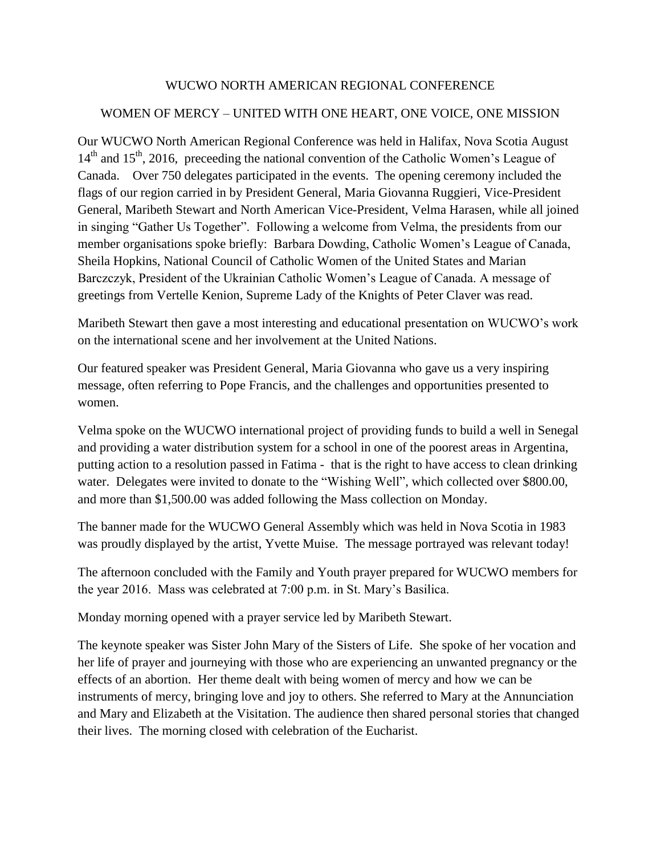## WUCWO NORTH AMERICAN REGIONAL CONFERENCE

## WOMEN OF MERCY – UNITED WITH ONE HEART, ONE VOICE, ONE MISSION

Our WUCWO North American Regional Conference was held in Halifax, Nova Scotia August  $14<sup>th</sup>$  and  $15<sup>th</sup>$ , 2016, preceeding the national convention of the Catholic Women's League of Canada. Over 750 delegates participated in the events. The opening ceremony included the flags of our region carried in by President General, Maria Giovanna Ruggieri, Vice-President General, Maribeth Stewart and North American Vice-President, Velma Harasen, while all joined in singing "Gather Us Together". Following a welcome from Velma, the presidents from our member organisations spoke briefly: Barbara Dowding, Catholic Women's League of Canada, Sheila Hopkins, National Council of Catholic Women of the United States and Marian Barczczyk, President of the Ukrainian Catholic Women's League of Canada. A message of greetings from Vertelle Kenion, Supreme Lady of the Knights of Peter Claver was read.

Maribeth Stewart then gave a most interesting and educational presentation on WUCWO's work on the international scene and her involvement at the United Nations.

Our featured speaker was President General, Maria Giovanna who gave us a very inspiring message, often referring to Pope Francis, and the challenges and opportunities presented to women.

Velma spoke on the WUCWO international project of providing funds to build a well in Senegal and providing a water distribution system for a school in one of the poorest areas in Argentina, putting action to a resolution passed in Fatima - that is the right to have access to clean drinking water. Delegates were invited to donate to the "Wishing Well", which collected over \$800.00, and more than \$1,500.00 was added following the Mass collection on Monday.

The banner made for the WUCWO General Assembly which was held in Nova Scotia in 1983 was proudly displayed by the artist, Yvette Muise. The message portrayed was relevant today!

The afternoon concluded with the Family and Youth prayer prepared for WUCWO members for the year 2016. Mass was celebrated at 7:00 p.m. in St. Mary's Basilica.

Monday morning opened with a prayer service led by Maribeth Stewart.

The keynote speaker was Sister John Mary of the Sisters of Life. She spoke of her vocation and her life of prayer and journeying with those who are experiencing an unwanted pregnancy or the effects of an abortion. Her theme dealt with being women of mercy and how we can be instruments of mercy, bringing love and joy to others. She referred to Mary at the Annunciation and Mary and Elizabeth at the Visitation. The audience then shared personal stories that changed their lives. The morning closed with celebration of the Eucharist.